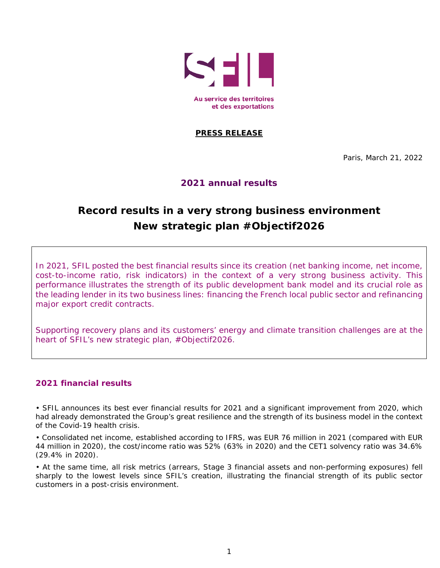

## **PRESS RELEASE**

Paris, March 21, 2022

# **2021 annual results**

# **Record results in a very strong business environment New strategic plan #Objectif2026**

In 2021, SFIL posted the best financial results since its creation (net banking income, net income, cost-to-income ratio, risk indicators) in the context of a very strong business activity. This performance illustrates the strength of its public development bank model and its crucial role as the leading lender in its two business lines: financing the French local public sector and refinancing major export credit contracts.

Supporting recovery plans and its customers' energy and climate transition challenges are at the heart of SFIL's new strategic plan, #Objectif2026.

### **2021 financial results**

• SFIL announces its best ever financial results for 2021 and a significant improvement from 2020, which had already demonstrated the Group's great resilience and the strength of its business model in the context of the Covid-19 health crisis.

• Consolidated net income, established according to IFRS, was EUR 76 million in 2021 (compared with EUR 44 million in 2020), the cost/income ratio was 52% (63% in 2020) and the CET1 solvency ratio was 34.6% (29.4% in 2020).

• At the same time, all risk metrics (arrears, Stage 3 financial assets and non-performing exposures) fell sharply to the lowest levels since SFIL's creation, illustrating the financial strength of its public sector customers in a post-crisis environment.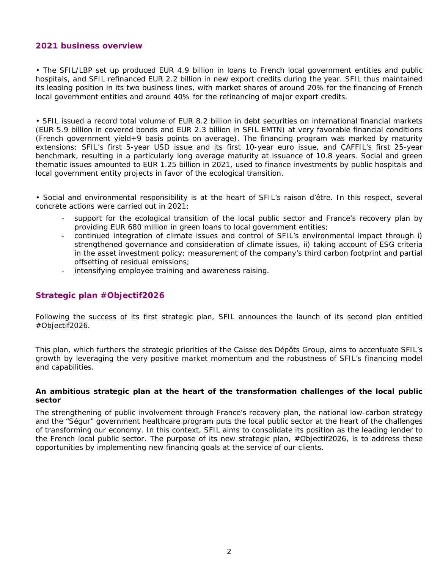### **2021 business overview**

• The SFIL/LBP set up produced EUR 4.9 billion in loans to French local government entities and public hospitals, and SFIL refinanced EUR 2.2 billion in new export credits during the year. SFIL thus maintained its leading position in its two business lines, with market shares of around 20% for the financing of French local government entities and around 40% for the refinancing of major export credits.

• SFIL issued a record total volume of EUR 8.2 billion in debt securities on international financial markets (EUR 5.9 billion in covered bonds and EUR 2.3 billion in SFIL EMTN) at very favorable financial conditions (French government yield+9 basis points on average). The financing program was marked by maturity extensions: SFIL's first 5-year USD issue and its first 10-year euro issue, and CAFFIL's first 25-year benchmark, resulting in a particularly long average maturity at issuance of 10.8 years. Social and green thematic issues amounted to EUR 1.25 billion in 2021, used to finance investments by public hospitals and local government entity projects in favor of the ecological transition.

• Social and environmental responsibility is at the heart of SFIL's *raison d'être*. In this respect, several concrete actions were carried out in 2021:

- support for the ecological transition of the local public sector and France's recovery plan by providing EUR 680 million in green loans to local government entities;
- continued integration of climate issues and control of SFIL's environmental impact through i) strengthened governance and consideration of climate issues, ii) taking account of ESG criteria in the asset investment policy; measurement of the company's third carbon footprint and partial offsetting of residual emissions;
- intensifying employee training and awareness raising.

### **Strategic plan #Objectif2026**

Following the success of its first strategic plan, SFIL announces the launch of its second plan entitled #Objectif2026.

This plan, which furthers the strategic priorities of the Caisse des Dépôts Group, aims to accentuate SFIL's growth by leveraging the very positive market momentum and the robustness of SFIL's financing model and capabilities.

#### **An ambitious strategic plan at the heart of the transformation challenges of the local public sector**

The strengthening of public involvement through France's recovery plan, the national low-carbon strategy and the "Ségur" government healthcare program puts the local public sector at the heart of the challenges of transforming our economy. In this context, SFIL aims to consolidate its position as the leading lender to the French local public sector. The purpose of its new strategic plan, #Objectif2026, is to address these opportunities by implementing new financing goals at the service of our clients.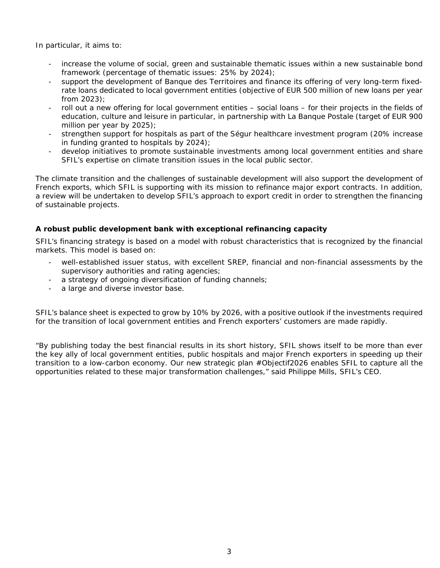In particular, it aims to:

- increase the volume of social, green and sustainable thematic issues within a new sustainable bond framework (percentage of thematic issues: 25% by 2024);
- support the development of Banque des Territoires and finance its offering of very long-term fixedrate loans dedicated to local government entities (objective of EUR 500 million of new loans per year from 2023);
- roll out a new offering for local government entities social loans for their projects in the fields of education, culture and leisure in particular, in partnership with La Banque Postale (target of EUR 900 million per year by 2025);
- strengthen support for hospitals as part of the Ségur healthcare investment program (20% increase in funding granted to hospitals by 2024);
- develop initiatives to promote sustainable investments among local government entities and share SFIL's expertise on climate transition issues in the local public sector.

The climate transition and the challenges of sustainable development will also support the development of French exports, which SFIL is supporting with its mission to refinance major export contracts. In addition, a review will be undertaken to develop SFIL's approach to export credit in order to strengthen the financing of sustainable projects.

### **A robust public development bank with exceptional refinancing capacity**

SFIL's financing strategy is based on a model with robust characteristics that is recognized by the financial markets. This model is based on:

- well-established issuer status, with excellent SREP, financial and non-financial assessments by the supervisory authorities and rating agencies;
- a strategy of ongoing diversification of funding channels;
- a large and diverse investor base.

SFIL's balance sheet is expected to grow by 10% by 2026, with a positive outlook if the investments required for the transition of local government entities and French exporters' customers are made rapidly.

*"By publishing today the best financial results in its short history, SFIL shows itself to be more than ever the key ally of local government entities, public hospitals and major French exporters in speeding up their transition to a low-carbon economy. Our new strategic plan #Objectif2026 enables SFIL to capture all the opportunities related to these major transformation challenges,"* said Philippe Mills, SFIL's CEO.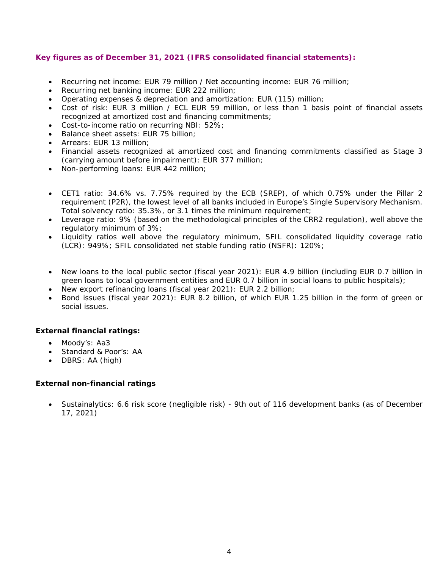### **Key figures as of December 31, 2021 (IFRS consolidated financial statements):**

- Recurring net income: EUR 79 million / Net accounting income: EUR 76 million;
- Recurring net banking income: EUR 222 million;
- Operating expenses & depreciation and amortization: EUR (115) million;
- Cost of risk: EUR 3 million / ECL EUR 59 million, or less than 1 basis point of financial assets recognized at amortized cost and financing commitments;
- Cost-to-income ratio on recurring NBI: 52%;
- Balance sheet assets: EUR 75 billion;
- Arrears: EUR 13 million;
- Financial assets recognized at amortized cost and financing commitments classified as Stage 3 (carrying amount before impairment): EUR 377 million;
- Non-performing loans: EUR 442 million;
- CET1 ratio: 34.6% vs. 7.75% required by the ECB (SREP), of which 0.75% under the Pillar 2 requirement (P2R), the lowest level of all banks included in Europe's Single Supervisory Mechanism. Total solvency ratio: 35.3%, or 3.1 times the minimum requirement;
- Leverage ratio: 9% (based on the methodological principles of the CRR2 regulation), well above the regulatory minimum of 3%;
- Liquidity ratios well above the regulatory minimum, SFIL consolidated liquidity coverage ratio (LCR): 949%; SFIL consolidated net stable funding ratio (NSFR): 120%;
- New loans to the local public sector (fiscal year 2021): EUR 4.9 billion (including EUR 0.7 billion in green loans to local government entities and EUR 0.7 billion in social loans to public hospitals);
- New export refinancing loans (fiscal year 2021): EUR 2.2 billion;
- Bond issues (fiscal year 2021): EUR 8.2 billion, of which EUR 1.25 billion in the form of green or social issues.

### **External financial ratings:**

- Moody's: Aa3
- Standard & Poor's: AA
- DBRS: AA (high)

### **External non-financial ratings**

 Sustainalytics: 6.6 risk score (negligible risk) - 9th out of 116 development banks (as of December 17, 2021)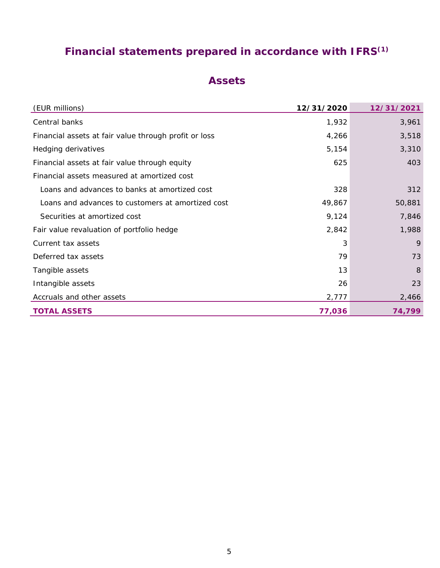# **Financial statements prepared in accordance with IFRS(1)**

# **Assets**

| (EUR millions)                                        | 12/31/2020 | 12/31/2021 |
|-------------------------------------------------------|------------|------------|
| Central banks                                         | 1,932      | 3,961      |
| Financial assets at fair value through profit or loss | 4,266      | 3,518      |
| Hedging derivatives                                   | 5,154      | 3,310      |
| Financial assets at fair value through equity         | 625        | 403        |
| Financial assets measured at amortized cost           |            |            |
| Loans and advances to banks at amortized cost         | 328        | 312        |
| Loans and advances to customers at amortized cost     | 49,867     | 50,881     |
| Securities at amortized cost                          | 9,124      | 7,846      |
| Fair value revaluation of portfolio hedge             | 2,842      | 1,988      |
| Current tax assets                                    | 3          | 9          |
| Deferred tax assets                                   | 79         | 73         |
| Tangible assets                                       | 13         | 8          |
| Intangible assets                                     | 26         | 23         |
| Accruals and other assets                             | 2,777      | 2,466      |
| <b>TOTAL ASSETS</b>                                   | 77,036     | 74,799     |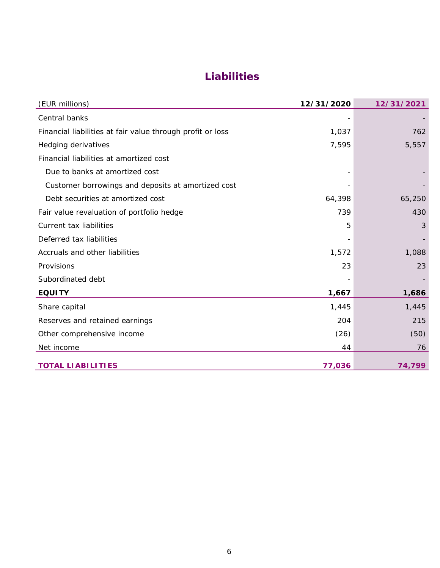# **Liabilities**

| (EUR millions)                                             | 12/31/2020 | 12/31/2021 |
|------------------------------------------------------------|------------|------------|
| Central banks                                              |            |            |
| Financial liabilities at fair value through profit or loss | 1,037      | 762        |
| Hedging derivatives                                        | 7,595      | 5,557      |
| Financial liabilities at amortized cost                    |            |            |
| Due to banks at amortized cost                             |            |            |
| Customer borrowings and deposits at amortized cost         |            |            |
| Debt securities at amortized cost                          | 64,398     | 65,250     |
| Fair value revaluation of portfolio hedge                  | 739        | 430        |
| Current tax liabilities                                    | 5          | 3          |
| Deferred tax liabilities                                   |            |            |
| Accruals and other liabilities                             | 1,572      | 1,088      |
| Provisions                                                 | 23         | 23         |
| Subordinated debt                                          |            |            |
| <b>EQUITY</b>                                              | 1,667      | 1,686      |
| Share capital                                              | 1,445      | 1,445      |
| Reserves and retained earnings                             | 204        | 215        |
| Other comprehensive income                                 | (26)       | (50)       |
| Net income                                                 | 44         | 76         |
| <b>TOTAL LIABILITIES</b>                                   | 77,036     | 74,799     |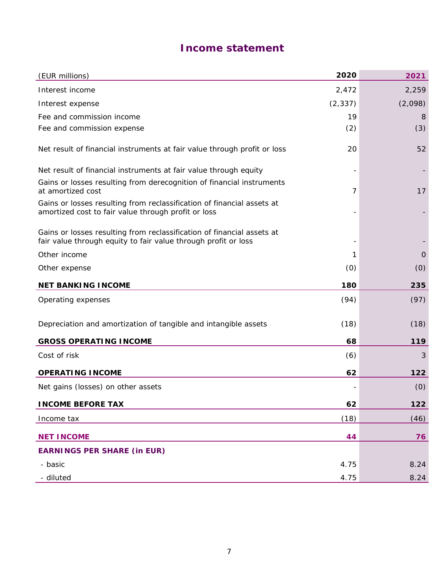# **Income statement**

| (EUR millions)                                                                                                                           | 2020     | 2021    |
|------------------------------------------------------------------------------------------------------------------------------------------|----------|---------|
| Interest income                                                                                                                          | 2,472    | 2,259   |
| Interest expense                                                                                                                         | (2, 337) | (2,098) |
| Fee and commission income                                                                                                                | 19       | 8       |
| Fee and commission expense                                                                                                               | (2)      | (3)     |
| Net result of financial instruments at fair value through profit or loss                                                                 | 20       | 52      |
| Net result of financial instruments at fair value through equity                                                                         |          |         |
| Gains or losses resulting from derecognition of financial instruments<br>at amortized cost                                               | 7        | 17      |
| Gains or losses resulting from reclassification of financial assets at<br>amortized cost to fair value through profit or loss            |          |         |
| Gains or losses resulting from reclassification of financial assets at<br>fair value through equity to fair value through profit or loss |          |         |
| Other income                                                                                                                             | 1        | 0       |
| Other expense                                                                                                                            | (0)      | (0)     |
| <b>NET BANKING INCOME</b>                                                                                                                | 180      | 235     |
| Operating expenses                                                                                                                       | (94)     | (97)    |
| Depreciation and amortization of tangible and intangible assets                                                                          | (18)     | (18)    |
| <b>GROSS OPERATING INCOME</b>                                                                                                            | 68       | 119     |
| Cost of risk                                                                                                                             | (6)      | 3       |
| <b>OPERATING INCOME</b>                                                                                                                  | 62       | 122     |
| Net gains (losses) on other assets                                                                                                       |          | (0)     |
| <b>INCOME BEFORE TAX</b>                                                                                                                 | 62       | 122     |
| Income tax                                                                                                                               | (18)     | (46)    |
| <b>NET INCOME</b>                                                                                                                        | 44       | 76      |
| <b>EARNINGS PER SHARE (in EUR)</b>                                                                                                       |          |         |
| - basic                                                                                                                                  | 4.75     | 8.24    |
| - diluted                                                                                                                                | 4.75     | 8.24    |